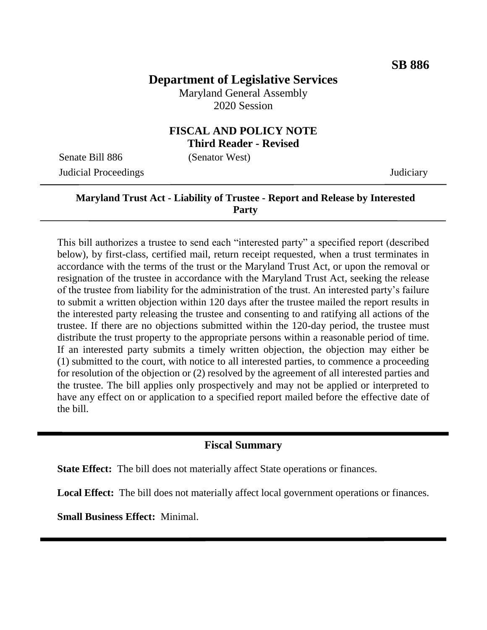# **Department of Legislative Services**

Maryland General Assembly 2020 Session

#### **FISCAL AND POLICY NOTE Third Reader - Revised**

Senate Bill 886 (Senator West) Judicial Proceedings Judiciary

# **Maryland Trust Act - Liability of Trustee - Report and Release by Interested Party**

This bill authorizes a trustee to send each "interested party" a specified report (described below), by first-class, certified mail, return receipt requested, when a trust terminates in accordance with the terms of the trust or the Maryland Trust Act, or upon the removal or resignation of the trustee in accordance with the Maryland Trust Act, seeking the release of the trustee from liability for the administration of the trust. An interested party's failure to submit a written objection within 120 days after the trustee mailed the report results in the interested party releasing the trustee and consenting to and ratifying all actions of the trustee. If there are no objections submitted within the 120-day period, the trustee must distribute the trust property to the appropriate persons within a reasonable period of time. If an interested party submits a timely written objection, the objection may either be (1) submitted to the court, with notice to all interested parties, to commence a proceeding for resolution of the objection or (2) resolved by the agreement of all interested parties and the trustee. The bill applies only prospectively and may not be applied or interpreted to have any effect on or application to a specified report mailed before the effective date of the bill.

### **Fiscal Summary**

**State Effect:** The bill does not materially affect State operations or finances.

**Local Effect:** The bill does not materially affect local government operations or finances.

**Small Business Effect:** Minimal.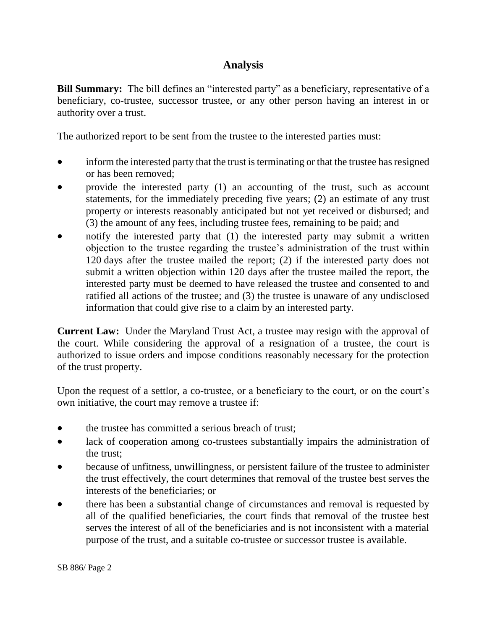## **Analysis**

**Bill Summary:** The bill defines an "interested party" as a beneficiary, representative of a beneficiary, co-trustee, successor trustee, or any other person having an interest in or authority over a trust.

The authorized report to be sent from the trustee to the interested parties must:

- inform the interested party that the trust is terminating or that the trustee has resigned or has been removed;
- provide the interested party (1) an accounting of the trust, such as account statements, for the immediately preceding five years; (2) an estimate of any trust property or interests reasonably anticipated but not yet received or disbursed; and (3) the amount of any fees, including trustee fees, remaining to be paid; and
- notify the interested party that (1) the interested party may submit a written objection to the trustee regarding the trustee's administration of the trust within 120 days after the trustee mailed the report; (2) if the interested party does not submit a written objection within 120 days after the trustee mailed the report, the interested party must be deemed to have released the trustee and consented to and ratified all actions of the trustee; and (3) the trustee is unaware of any undisclosed information that could give rise to a claim by an interested party.

**Current Law:** Under the Maryland Trust Act, a trustee may resign with the approval of the court. While considering the approval of a resignation of a trustee, the court is authorized to issue orders and impose conditions reasonably necessary for the protection of the trust property.

Upon the request of a settlor, a co-trustee, or a beneficiary to the court, or on the court's own initiative, the court may remove a trustee if:

- the trustee has committed a serious breach of trust;
- lack of cooperation among co-trustees substantially impairs the administration of the trust;
- because of unfitness, unwillingness, or persistent failure of the trustee to administer the trust effectively, the court determines that removal of the trustee best serves the interests of the beneficiaries; or
- there has been a substantial change of circumstances and removal is requested by all of the qualified beneficiaries, the court finds that removal of the trustee best serves the interest of all of the beneficiaries and is not inconsistent with a material purpose of the trust, and a suitable co-trustee or successor trustee is available.